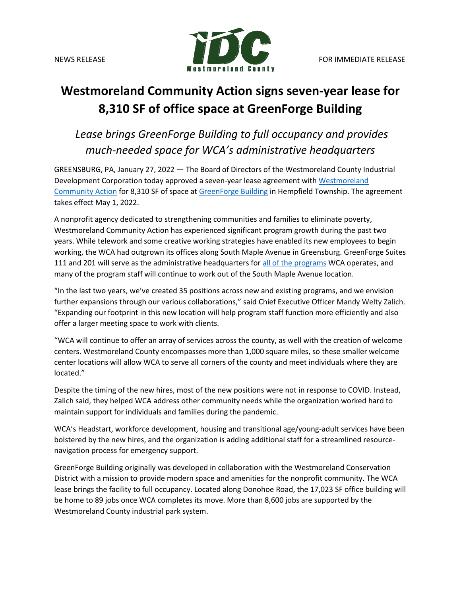

## **Westmoreland Community Action signs seven-year lease for 8,310 SF of office space at GreenForge Building**

*Lease brings GreenForge Building to full occupancy and provides much-needed space for WCA's administrative headquarters*

GREENSBURG, PA, January 27, 2022 — The Board of Directors of the Westmoreland County Industrial Development Corporation today approved a seven-year lease agreement with Westmoreland [Community Action](https://westmorelandca.org/) for 8,310 SF of space a[t GreenForge Building](https://www.co.westmoreland.pa.us/2715/GreenForge-Building) in Hempfield Township. The agreement takes effect May 1, 2022.

A nonprofit agency dedicated to strengthening communities and families to eliminate poverty, Westmoreland Community Action has experienced significant program growth during the past two years. While telework and some creative working strategies have enabled its new employees to begin working, the WCA had outgrown its offices along South Maple Avenue in Greensburg. GreenForge Suites 111 and 201 will serve as the administrative headquarters for [all of the programs](https://westmorelandca.org/programs/) WCA operates, and many of the program staff will continue to work out of the South Maple Avenue location.

"In the last two years, we've created 35 positions across new and existing programs, and we envision further expansions through our various collaborations," said Chief Executive Officer Mandy Welty Zalich. "Expanding our footprint in this new location will help program staff function more efficiently and also offer a larger meeting space to work with clients.

"WCA will continue to offer an array of services across the county, as well with the creation of welcome centers. Westmoreland County encompasses more than 1,000 square miles, so these smaller welcome center locations will allow WCA to serve all corners of the county and meet individuals where they are located."

Despite the timing of the new hires, most of the new positions were not in response to COVID. Instead, Zalich said, they helped WCA address other community needs while the organization worked hard to maintain support for individuals and families during the pandemic.

WCA's Headstart, workforce development, housing and transitional age/young-adult services have been bolstered by the new hires, and the organization is adding additional staff for a streamlined resourcenavigation process for emergency support.

GreenForge Building originally was developed in collaboration with the Westmoreland Conservation District with a mission to provide modern space and amenities for the nonprofit community. The WCA lease brings the facility to full occupancy. Located along Donohoe Road, the 17,023 SF office building will be home to 89 jobs once WCA completes its move. More than 8,600 jobs are supported by the Westmoreland County industrial park system.